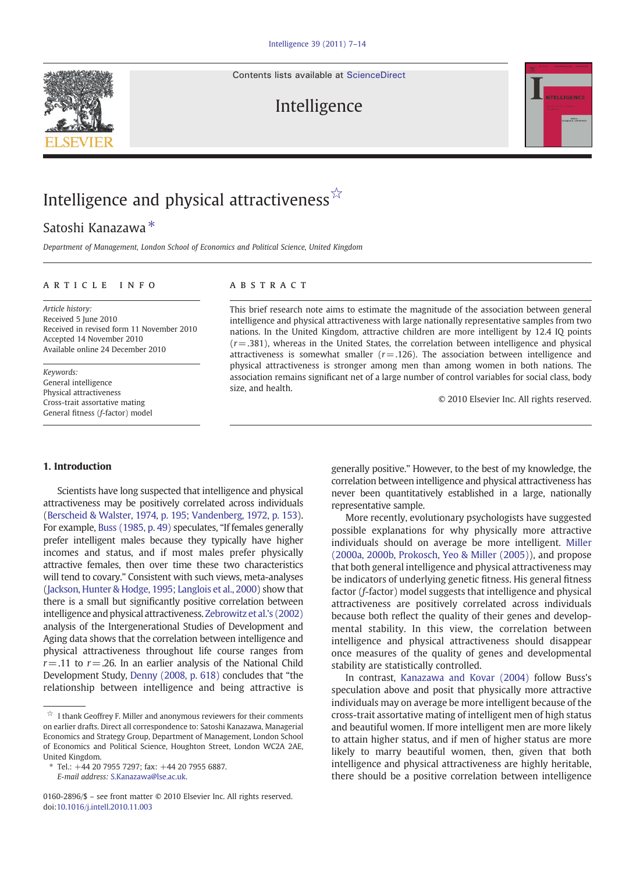Contents lists available at [ScienceDirect](http://www.sciencedirect.com/science/journal/01602896)



Intelligence



# Intelligence and physical attractiveness  $\hat{X}$

# Satoshi Kanazawa ⁎

Department of Management, London School of Economics and Political Science, United Kingdom

### article info abstract

Article history: Received 5 June 2010 Received in revised form 11 November 2010 Accepted 14 November 2010 Available online 24 December 2010

Keywords: General intelligence Physical attractiveness Cross-trait assortative mating General fitness (f-factor) model

### 1. Introduction

Scientists have long suspected that intelligence and physical attractiveness may be positively correlated across individuals [\(Berscheid & Walster, 1974, p. 195; Vandenberg, 1972, p. 153\)](#page-7-0). For example, [Buss \(1985, p. 49\)](#page-7-0) speculates, "If females generally prefer intelligent males because they typically have higher incomes and status, and if most males prefer physically attractive females, then over time these two characteristics will tend to covary." Consistent with such views, meta-analyses [\(Jackson, Hunter & Hodge, 1995; Langlois et al., 2000](#page-7-0)) show that there is a small but significantly positive correlation between intelligence and physical attractiveness. [Zebrowitz et al.'s \(2002\)](#page-7-0) analysis of the Intergenerational Studies of Development and Aging data shows that the correlation between intelligence and physical attractiveness throughout life course ranges from  $r = .11$  to  $r = .26$ . In an earlier analysis of the National Child Development Study, [Denny \(2008, p. 618\)](#page-7-0) concludes that "the relationship between intelligence and being attractive is

E-mail address: [S.Kanazawa@lse.ac.uk.](mailto:S.Kanazawa@lse.ac.uk)

This brief research note aims to estimate the magnitude of the association between general intelligence and physical attractiveness with large nationally representative samples from two nations. In the United Kingdom, attractive children are more intelligent by 12.4 IQ points  $(r = .381)$ , whereas in the United States, the correlation between intelligence and physical attractiveness is somewhat smaller  $(r= .126)$ . The association between intelligence and physical attractiveness is stronger among men than among women in both nations. The association remains significant net of a large number of control variables for social class, body size, and health.

© 2010 Elsevier Inc. All rights reserved.

generally positive." However, to the best of my knowledge, the correlation between intelligence and physical attractiveness has never been quantitatively established in a large, nationally representative sample.

More recently, evolutionary psychologists have suggested possible explanations for why physically more attractive individuals should on average be more intelligent. [Miller](#page-7-0) [\(2000a, 2000b, Prokosch, Yeo & Miller \(2005\)\)](#page-7-0), and propose that both general intelligence and physical attractiveness may be indicators of underlying genetic fitness. His general fitness factor (f-factor) model suggests that intelligence and physical attractiveness are positively correlated across individuals because both reflect the quality of their genes and developmental stability. In this view, the correlation between intelligence and physical attractiveness should disappear once measures of the quality of genes and developmental stability are statistically controlled.

In contrast, [Kanazawa and Kovar \(2004\)](#page-7-0) follow Buss's speculation above and posit that physically more attractive individuals may on average be more intelligent because of the cross-trait assortative mating of intelligent men of high status and beautiful women. If more intelligent men are more likely to attain higher status, and if men of higher status are more likely to marry beautiful women, then, given that both intelligence and physical attractiveness are highly heritable, there should be a positive correlation between intelligence

 $\overrightarrow{\mathbb{X}}$  I thank Geoffrey F. Miller and anonymous reviewers for their comments on earlier drafts. Direct all correspondence to: Satoshi Kanazawa, Managerial Economics and Strategy Group, Department of Management, London School of Economics and Political Science, Houghton Street, London WC2A 2AE, United Kingdom.

<sup>⁎</sup> Tel.: +44 20 7955 7297; fax: +44 20 7955 6887.

<sup>0160-2896/\$</sup> – see front matter © 2010 Elsevier Inc. All rights reserved. doi[:10.1016/j.intell.2010.11.003](http://dx.doi.org/10.1016/j.intell.2010.11.003)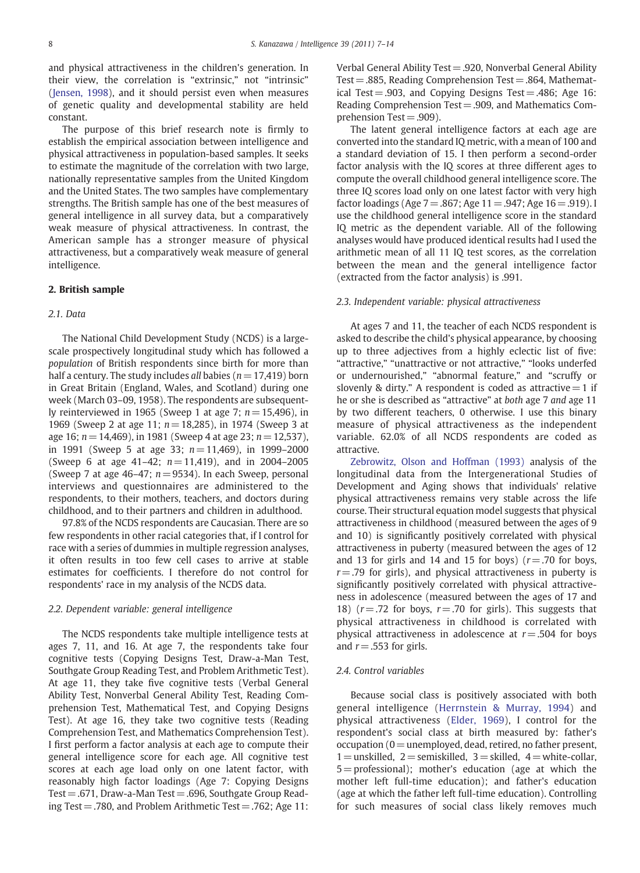and physical attractiveness in the children's generation. In their view, the correlation is "extrinsic," not "intrinsic" ([Jensen, 1998](#page-7-0)), and it should persist even when measures of genetic quality and developmental stability are held constant.

The purpose of this brief research note is firmly to establish the empirical association between intelligence and physical attractiveness in population-based samples. It seeks to estimate the magnitude of the correlation with two large, nationally representative samples from the United Kingdom and the United States. The two samples have complementary strengths. The British sample has one of the best measures of general intelligence in all survey data, but a comparatively weak measure of physical attractiveness. In contrast, the American sample has a stronger measure of physical attractiveness, but a comparatively weak measure of general intelligence.

#### 2. British sample

#### 2.1. Data

The National Child Development Study (NCDS) is a largescale prospectively longitudinal study which has followed a population of British respondents since birth for more than half a century. The study includes all babies ( $n = 17,419$ ) born in Great Britain (England, Wales, and Scotland) during one week (March 03–09, 1958). The respondents are subsequently reinterviewed in 1965 (Sweep 1 at age 7;  $n = 15,496$ ), in 1969 (Sweep 2 at age 11;  $n = 18,285$ ), in 1974 (Sweep 3 at age 16;  $n = 14,469$ ), in 1981 (Sweep 4 at age 23;  $n = 12,537$ ), in 1991 (Sweep 5 at age 33;  $n = 11,469$ ), in 1999–2000 (Sweep 6 at age 41–42;  $n = 11,419$ ), and in 2004–2005 (Sweep 7 at age  $46-47$ ;  $n= 9534$ ). In each Sweep, personal interviews and questionnaires are administered to the respondents, to their mothers, teachers, and doctors during childhood, and to their partners and children in adulthood.

97.8% of the NCDS respondents are Caucasian. There are so few respondents in other racial categories that, if I control for race with a series of dummies in multiple regression analyses, it often results in too few cell cases to arrive at stable estimates for coefficients. I therefore do not control for respondents' race in my analysis of the NCDS data.

#### 2.2. Dependent variable: general intelligence

The NCDS respondents take multiple intelligence tests at ages 7, 11, and 16. At age 7, the respondents take four cognitive tests (Copying Designs Test, Draw-a-Man Test, Southgate Group Reading Test, and Problem Arithmetic Test). At age 11, they take five cognitive tests (Verbal General Ability Test, Nonverbal General Ability Test, Reading Comprehension Test, Mathematical Test, and Copying Designs Test). At age 16, they take two cognitive tests (Reading Comprehension Test, and Mathematics Comprehension Test). I first perform a factor analysis at each age to compute their general intelligence score for each age. All cognitive test scores at each age load only on one latent factor, with reasonably high factor loadings (Age 7: Copying Designs Test  $= .671$ , Draw-a-Man Test  $= .696$ , Southgate Group Reading Test  $=$  .780, and Problem Arithmetic Test  $=$  .762; Age 11:

Verbal General Ability Test= .920, Nonverbal General Ability Test  $= .885$ , Reading Comprehension Test  $= .864$ , Mathematical Test = .903, and Copying Designs Test = .486; Age 16: Reading Comprehension Test= .909, and Mathematics Comprehension Test  $= .909$ ).

The latent general intelligence factors at each age are converted into the standard IQ metric, with a mean of 100 and a standard deviation of 15. I then perform a second-order factor analysis with the IQ scores at three different ages to compute the overall childhood general intelligence score. The three IQ scores load only on one latest factor with very high factor loadings (Age  $7 = .867$ ; Age  $11 = .947$ ; Age  $16 = .919$ ). I use the childhood general intelligence score in the standard IQ metric as the dependent variable. All of the following analyses would have produced identical results had I used the arithmetic mean of all 11 IQ test scores, as the correlation between the mean and the general intelligence factor (extracted from the factor analysis) is .991.

#### 2.3. Independent variable: physical attractiveness

At ages 7 and 11, the teacher of each NCDS respondent is asked to describe the child's physical appearance, by choosing up to three adjectives from a highly eclectic list of five: "attractive," "unattractive or not attractive," "looks underfed or undernourished," "abnormal feature," and "scruffy or slovenly & dirty." A respondent is coded as attractive  $= 1$  if he or she is described as "attractive" at both age 7 and age 11 by two different teachers, 0 otherwise. I use this binary measure of physical attractiveness as the independent variable. 62.0% of all NCDS respondents are coded as attractive.

[Zebrowitz, Olson and Hoffman \(1993\)](#page-7-0) analysis of the longitudinal data from the Intergenerational Studies of Development and Aging shows that individuals' relative physical attractiveness remains very stable across the life course. Their structural equation model suggests that physical attractiveness in childhood (measured between the ages of 9 and 10) is significantly positively correlated with physical attractiveness in puberty (measured between the ages of 12 and 13 for girls and 14 and 15 for boys)  $(r=.70)$  for boys,  $r = .79$  for girls), and physical attractiveness in puberty is significantly positively correlated with physical attractiveness in adolescence (measured between the ages of 17 and 18) ( $r = .72$  for boys,  $r = .70$  for girls). This suggests that physical attractiveness in childhood is correlated with physical attractiveness in adolescence at  $r = .504$  for boys and  $r = .553$  for girls.

#### 2.4. Control variables

Because social class is positively associated with both general intelligence [\(Herrnstein & Murray, 1994\)](#page-7-0) and physical attractiveness ([Elder, 1969\)](#page-7-0), I control for the respondent's social class at birth measured by: father's  $occ$ upation ( $0=$ unemployed, dead, retired, no father present,  $1=$ unskilled,  $2=$  semiskilled,  $3=$  skilled,  $4=$  white-collar, 5= professional); mother's education (age at which the mother left full-time education); and father's education (age at which the father left full-time education). Controlling for such measures of social class likely removes much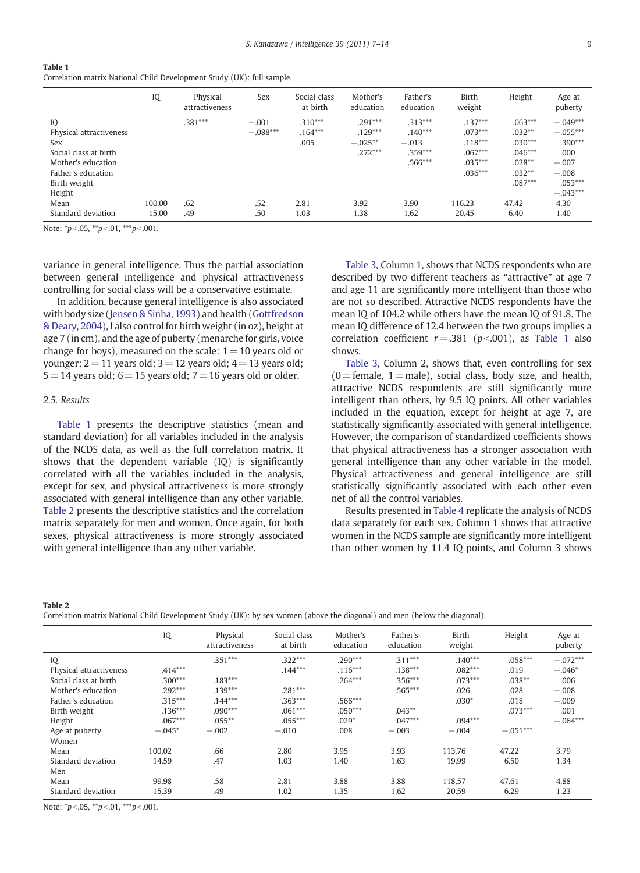Correlation matrix National Child Development Study (UK): full sample.

|                                                                                                                                                                   | IQ              | Physical<br>attractiveness | Sex                                 | Social class<br>at birth                       | Mother's<br>education                                            | Father's<br>education                                                       | Birth<br>weight                                                                               | Height                                                                                                | Age at<br>puberty                                                                                            |
|-------------------------------------------------------------------------------------------------------------------------------------------------------------------|-----------------|----------------------------|-------------------------------------|------------------------------------------------|------------------------------------------------------------------|-----------------------------------------------------------------------------|-----------------------------------------------------------------------------------------------|-------------------------------------------------------------------------------------------------------|--------------------------------------------------------------------------------------------------------------|
| IQ<br>Physical attractiveness<br>Sex<br>Social class at birth<br>Mother's education<br>Father's education<br>Birth weight<br>Height<br>Mean<br>Standard deviation | 100.00<br>15.00 | $.381***$<br>.62<br>.49    | $-.001$<br>$-.088***$<br>.52<br>.50 | $.310***$<br>$.164***$<br>.005<br>2.81<br>1.03 | $.291***$<br>$.129***$<br>$-.025**$<br>$.272***$<br>3.92<br>1.38 | $.313***$<br>$.140***$<br>$-.013$<br>$.359***$<br>$.566***$<br>3.90<br>1.62 | $.137***$<br>$.073***$<br>$.118***$<br>$.067***$<br>$.035***$<br>$.036***$<br>116.23<br>20.45 | $.063***$<br>$.032**$<br>$.030***$<br>$.046***$<br>$.028**$<br>$.032**$<br>$.087***$<br>47.42<br>6.40 | $-.049***$<br>$-.055***$<br>.390***<br>.000<br>$-.007$<br>$-.008$<br>$.053***$<br>$-.043***$<br>4.30<br>1.40 |

Note:  ${}^*p<.05$ ,  ${}^*p<.01$ ,  ${}^{***}p<.001$ .

variance in general intelligence. Thus the partial association between general intelligence and physical attractiveness controlling for social class will be a conservative estimate.

In addition, because general intelligence is also associated with body size [\(Jensen & Sinha, 1993\)](#page-7-0) and health ([Gottfredson](#page-7-0) [& Deary, 2004\)](#page-7-0), I also control for birth weight (in oz), height at age 7 (in cm), and the age of puberty (menarche for girls, voice change for boys), measured on the scale:  $1 = 10$  years old or younger;  $2 = 11$  years old;  $3 = 12$  years old;  $4 = 13$  years old;  $5 = 14$  years old;  $6 = 15$  years old;  $7 = 16$  years old or older.

#### 2.5. Results

Table 1 presents the descriptive statistics (mean and standard deviation) for all variables included in the analysis of the NCDS data, as well as the full correlation matrix. It shows that the dependent variable (IQ) is significantly correlated with all the variables included in the analysis, except for sex, and physical attractiveness is more strongly associated with general intelligence than any other variable. Table 2 presents the descriptive statistics and the correlation matrix separately for men and women. Once again, for both sexes, physical attractiveness is more strongly associated with general intelligence than any other variable.

[Table 3,](#page-3-0) Column 1, shows that NCDS respondents who are described by two different teachers as "attractive" at age 7 and age 11 are significantly more intelligent than those who are not so described. Attractive NCDS respondents have the mean IQ of 104.2 while others have the mean IQ of 91.8. The mean IQ difference of 12.4 between the two groups implies a correlation coefficient  $r = .381$  ( $p < .001$ ), as Table 1 also shows.

[Table 3](#page-3-0), Column 2, shows that, even controlling for sex  $(0=$  female,  $1=$  male), social class, body size, and health, attractive NCDS respondents are still significantly more intelligent than others, by 9.5 IQ points. All other variables included in the equation, except for height at age 7, are statistically significantly associated with general intelligence. However, the comparison of standardized coefficients shows that physical attractiveness has a stronger association with general intelligence than any other variable in the model. Physical attractiveness and general intelligence are still statistically significantly associated with each other even net of all the control variables.

Results presented in [Table 4](#page-3-0) replicate the analysis of NCDS data separately for each sex. Column 1 shows that attractive women in the NCDS sample are significantly more intelligent than other women by 11.4 IQ points, and Column 3 shows

Table 2

Correlation matrix National Child Development Study (UK): by sex women (above the diagonal) and men (below the diagonal).

|                         | IQ        | Physical<br>attractiveness | Social class<br>at birth | Mother's<br>education | Father's<br>education | Birth<br>weight | Height     | Age at<br>puberty |
|-------------------------|-----------|----------------------------|--------------------------|-----------------------|-----------------------|-----------------|------------|-------------------|
| IQ                      |           | $.351***$                  | $.322***$                | $.290***$             | $.311***$             | $.140***$       | $.058***$  | $-.072***$        |
| Physical attractiveness | $.414***$ |                            | $.144***$                | $.116***$             | $.138***$             | $.082***$       | .019       | $-.046*$          |
| Social class at birth   | $.300***$ | $.183***$                  |                          | $.264***$             | $.356***$             | $.073***$       | $.038**$   | .006              |
| Mother's education      | $.292***$ | $.139***$                  | $.281***$                |                       | .565***               | .026            | .028       | $-.008$           |
| Father's education      | $.315***$ | $.144***$                  | $.363***$                | .566***               |                       | $.030*$         | .018       | $-.009$           |
| Birth weight            | $.136***$ | $.090***$                  | $.061***$                | $.050***$             | $.043**$              |                 | $.073***$  | .001              |
| Height                  | $.067***$ | $.055***$                  | $.055***$                | $.029*$               | $.047***$             | $.094***$       |            | $-.064***$        |
| Age at puberty          | $-.045*$  | $-.002$                    | $-.010$                  | .008                  | $-.003$               | $-.004$         | $-.051***$ |                   |
| Women                   |           |                            |                          |                       |                       |                 |            |                   |
| Mean                    | 100.02    | .66                        | 2.80                     | 3.95                  | 3.93                  | 113.76          | 47.22      | 3.79              |
| Standard deviation      | 14.59     | .47                        | 1.03                     | 1.40                  | 1.63                  | 19.99           | 6.50       | 1.34              |
| Men                     |           |                            |                          |                       |                       |                 |            |                   |
| Mean                    | 99.98     | .58                        | 2.81                     | 3.88                  | 3.88                  | 118.57          | 47.61      | 4.88              |
| Standard deviation      | 15.39     | .49                        | 1.02                     | 1.35                  | 1.62                  | 20.59           | 6.29       | 1.23              |

Note:  $\binom{p}{0.05}$ ,  $\binom{**}{p}$ .01,  $\binom{***}{p}$ .001.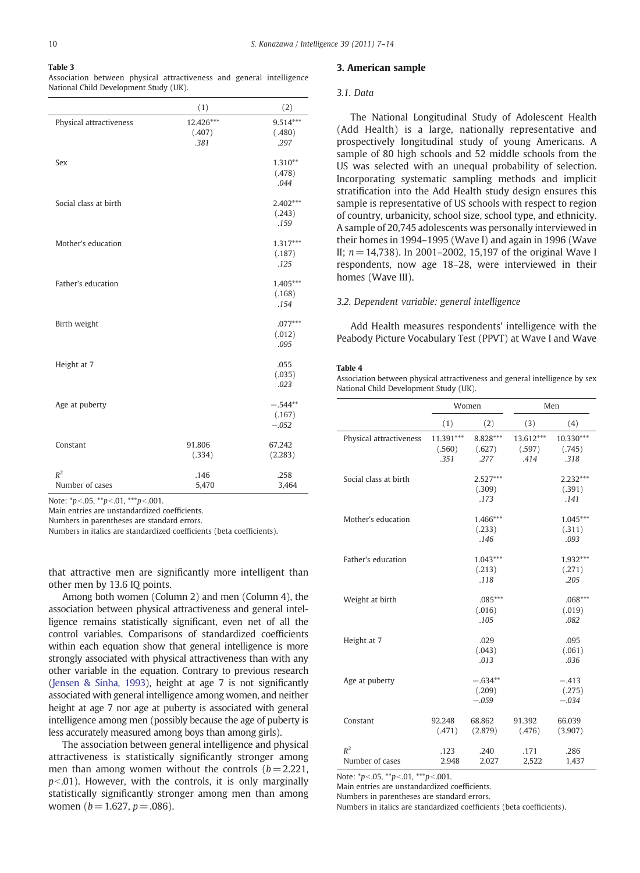<span id="page-3-0"></span>Association between physical attractiveness and general intelligence National Child Development Study (UK).

|                          | (1)                         | (2)                            |
|--------------------------|-----------------------------|--------------------------------|
| Physical attractiveness  | 12.426***<br>(.407)<br>.381 | $9.514***$<br>(.480)<br>.297   |
| Sex                      |                             | $1.310**$<br>(.478)<br>.044    |
| Social class at birth    |                             | $2.402***$<br>(.243)<br>.159   |
| Mother's education       |                             | $1.317***$<br>(.187)<br>.125   |
| Father's education       |                             | $1.405***$<br>(.168)<br>.154   |
| Birth weight             |                             | $.077***$<br>(.012)<br>.095    |
| Height at 7              |                             | .055<br>(.035)<br>.023         |
| Age at puberty           |                             | $-.544**$<br>(.167)<br>$-.052$ |
| Constant                 | 91.806<br>(.334)            | 67.242<br>(2.283)              |
| $R^2$<br>Number of cases | .146<br>5,470               | .258<br>3,464                  |

Note:  $\degree{p}$  < 05,  $\degree{p}$  < 01,  $\degree{p}$  < 001.

Main entries are unstandardized coefficients.

Numbers in parentheses are standard errors.

Numbers in italics are standardized coefficients (beta coefficients).

that attractive men are significantly more intelligent than other men by 13.6 IQ points.

Among both women (Column 2) and men (Column 4), the association between physical attractiveness and general intelligence remains statistically significant, even net of all the control variables. Comparisons of standardized coefficients within each equation show that general intelligence is more strongly associated with physical attractiveness than with any other variable in the equation. Contrary to previous research ([Jensen & Sinha, 1993\)](#page-7-0), height at age 7 is not significantly associated with general intelligence among women, and neither height at age 7 nor age at puberty is associated with general intelligence among men (possibly because the age of puberty is less accurately measured among boys than among girls).

The association between general intelligence and physical attractiveness is statistically significantly stronger among men than among women without the controls  $(b= 2.221,$  $p<0$ .01). However, with the controls, it is only marginally statistically significantly stronger among men than among women ( $b = 1.627$ ,  $p = .086$ ).

#### 3. American sample

#### 3.1. Data

The National Longitudinal Study of Adolescent Health (Add Health) is a large, nationally representative and prospectively longitudinal study of young Americans. A sample of 80 high schools and 52 middle schools from the US was selected with an unequal probability of selection. Incorporating systematic sampling methods and implicit stratification into the Add Health study design ensures this sample is representative of US schools with respect to region of country, urbanicity, school size, school type, and ethnicity. A sample of 20,745 adolescents was personally interviewed in their homes in 1994–1995 (Wave I) and again in 1996 (Wave II;  $n = 14,738$ ). In 2001–2002, 15,197 of the original Wave I respondents, now age 18–28, were interviewed in their homes (Wave III).

#### 3.2. Dependent variable: general intelligence

Add Health measures respondents' intelligence with the Peabody Picture Vocabulary Test (PPVT) at Wave I and Wave

#### Table 4

Association between physical attractiveness and general intelligence by sex National Child Development Study (UK).

|                          |                             | Women                          |                             | Men                          |
|--------------------------|-----------------------------|--------------------------------|-----------------------------|------------------------------|
|                          | (1)                         | (2)                            | (3)                         | (4)                          |
| Physical attractiveness  | 11.391***<br>(.560)<br>.351 | 8.828***<br>(.627)<br>.277     | 13.612***<br>(.597)<br>.414 | 10.330***<br>(.745)<br>.318  |
| Social class at birth    |                             | $2.527***$<br>(.309)<br>.173   |                             | $2.232***$<br>(.391)<br>.141 |
| Mother's education       |                             | 1.466***<br>(.233)<br>.146     |                             | $1.045***$<br>(.311)<br>.093 |
| Father's education       |                             | $1.043***$<br>(.213)<br>.118   |                             | 1.932***<br>(.271)<br>.205   |
| Weight at birth          |                             | $.085***$<br>(.016)<br>.105    |                             | $.068***$<br>(.019)<br>.082  |
| Height at 7              |                             | .029<br>(.043)<br>.013         |                             | .095<br>(.061)<br>.036       |
| Age at puberty           |                             | $-.634**$<br>(.209)<br>$-.059$ |                             | $-.413$<br>(.275)<br>$-.034$ |
| Constant                 | 92.248<br>(.471)            | 68.862<br>(2.879)              | 91.392<br>(.476)            | 66.039<br>(3.907)            |
| $R^2$<br>Number of cases | .123<br>2,948               | .240<br>2,027                  | .171<br>2,522               | .286<br>1,437                |

Note:  $*p<0.05$ ,  $**p<0.01$ ,  $***p<0.001$ .

Main entries are unstandardized coefficients.

Numbers in parentheses are standard errors.

Numbers in italics are standardized coefficients (beta coefficients).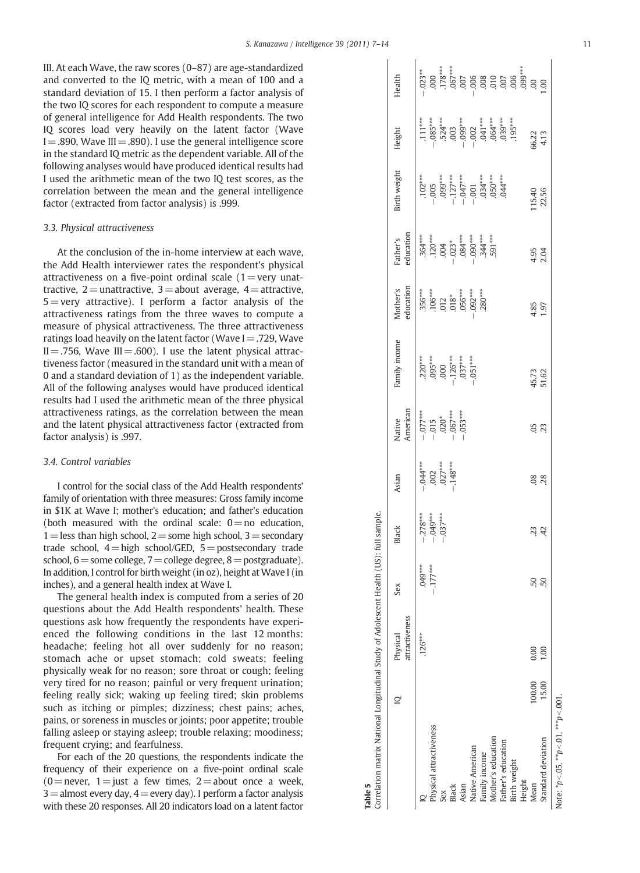<span id="page-4-0"></span>III. At each Wave, the raw scores (0–87) are age-standardized and converted to the IQ metric, with a mean of 100 and a standard deviation of 15. I then perform a factor analysis of the two IQ scores for each respondent to compute a measure of general intelligence for Add Health respondents. The two IQ scores load very heavily on the latent factor (Wave  $I = .890$ , Wave III =  $.890$ ). I use the general intelligence score in the standard IQ metric as the dependent variable. All of the following analyses would have produced identical results had I used the arithmetic mean of the two IQ test scores, as the correlation between the mean and the general intelligence factor (extracted from factor analysis) is .999.

#### 3.3. Physical attractiveness

At the conclusion of the in-home interview at each wave, the Add Health interviewer rates the respondent's physical attractiveness on a five-point ordinal scale  $(1=$  very unattractive,  $2$  = unattractive,  $3$  = about average,  $4$  = attractive,  $5 =$  very attractive). I perform a factor analysis of the attractiveness ratings from the three waves to compute a measure of physical attractiveness. The three attractiveness ratings load heavily on the latent factor (Wave  $I = .729$ , Wave  $II = .756$ , Wave  $III = .600$ ). I use the latent physical attractiveness factor (measured in the standard unit with a mean of 0 and a standard deviation of 1) as the independent variable. All of the following analyses would have produced identical results had I used the arithmetic mean of the three physical attractiveness ratings, as the correlation between the mean and the latent physical attractiveness factor (extracted from factor analysis) is .997.

#### 3.4. Control variables

I control for the social class of the Add Health respondents' family of orientation with three measures: Gross family income in \$1K at Wave I; mother's education; and father's education (both measured with the ordinal scale:  $0=$  no education,  $1=$  less than high school,  $2=$  some high school,  $3=$  secondary trade school,  $4=$ high school/GED,  $5=$  postsecondary trade school,  $6=$ some college,  $7=$ college degree,  $8=$  postgraduate). In addition, I control for birth weight (in oz), height at Wave I (in inches), and a general health index at Wave I.

The general health index is computed from a series of 20 questions about the Add Health respondents' health. These questions ask how frequently the respondents have experienced the following conditions in the last 12 months: headache; feeling hot all over suddenly for no reason; stomach ache or upset stomach; cold sweats; feeling physically weak for no reason; sore throat or cough; feeling very tired for no reason; painful or very frequent urination; feeling really sick; waking up feeling tired; skin problems such as itching or pimples; dizziness; chest pains; aches, pains, or soreness in muscles or joints; poor appetite; trouble falling asleep or staying asleep; trouble relaxing; moodiness; frequent crying; and fearfulness.

For each of the 20 questions, the respondents indicate the frequency of their experience on a five-point ordinal scale  $(0)$ =never, 1 = just a few times, 2 = about once a week,  $3$  = almost every day,  $4$  = every day). I perform a factor analysis with these 20 responses. All 20 indicators load on a latent factor

|                                                                                        | Health<br>Height<br>sirth weight<br>education<br>Father's<br>education<br>Mother's<br>amily income | $-.023**$<br>$\begin{array}{l} 111***\\ -1085***\\ -1083***\\ -1030\\ -1003\\ -1002\\ -1002\\ -1002\\ -1003\\ -1003\\ -1003\\ -1003\\ -1003\\ -1003\\ -1003\\ -1003\\ -1003\\ -1003\\ -1003\\ -1003\\ -1003\\ -1003\\ -1003\\ -1003\\ -1003\\ -1003\\ -1003\\ -1003\\ -1003\\ -1003\\ -1003\\ -1003\\ -1003\\ -1003\\ -1003\\ -$<br>$\begin{array}{cccc} \text{\tt\#} & \text{\tt\#} & \text{\tt\#} & \text{\tt\#} & \text{\tt\#} \\ \text{\tt\#} & \text{\tt\#} & \text{\tt\#} & \text{\tt\#} & \text{\tt\#} & \text{\tt\#} \\ \text{\tt\#} & \text{\tt\#} & \text{\tt\#} & \text{\tt\#} & \text{\tt\#} & \text{\tt\#} \\ \text{\tt\#} & \text{\tt\#} & \text{\tt\#} & \text{\tt\#} & \text{\tt\#} & \text{\tt\#} \\ \text{\tt\#} & \text{\tt\#} & \text{\tt\#} & \text{\tt\$<br>$\begin{array}{l} .364**\\ .720**\\ .720**\\ .004\\ .084**\\ .006***\\ .006***\\ .007**\\ .008**\\ .009***\\ .009***\\ .009***\\ .009***\\ .001***\\ .001***\\ .001***\\ .001***\\ .001***\\ .001***\\ .001***\\ .001***\\ .001***\\ .001***\\ .001***\\ .001***\\ .001***\\ .001***\\ .001***\\ .001***\\ .001***\\ .001***\\ .001***\\ .001***\\ .001***\\ .001***\\ .001$<br>$\begin{array}{l} .356***\\ .106***\\ .106***\\ .012*\\ .018***\\ .056***\\ .030***\\ .280*** \end{array}$<br>$\begin{array}{ll} 220^{***} \\ 095^{***} \\ 000 \\ 126^{***} \\ 037^{***} \\ -151^{***} \\ \end{array}$ |     |       |       |                        |               |                    |                    |              |        | 66.22<br>4.13<br>15.40<br>22.56<br>4.95<br>2.04<br>4.85<br>1.97 |                                               |
|----------------------------------------------------------------------------------------|----------------------------------------------------------------------------------------------------|------------------------------------------------------------------------------------------------------------------------------------------------------------------------------------------------------------------------------------------------------------------------------------------------------------------------------------------------------------------------------------------------------------------------------------------------------------------------------------------------------------------------------------------------------------------------------------------------------------------------------------------------------------------------------------------------------------------------------------------------------------------------------------------------------------------------------------------------------------------------------------------------------------------------------------------------------------------------------------------------------------------------------------------------------------------------------------------------------------------------------------------------------------------------------------------------------------------------------------------------------------------------------------------------------------------------------------------------------------------------------------------|-----|-------|-------|------------------------|---------------|--------------------|--------------------|--------------|--------|-----------------------------------------------------------------|-----------------------------------------------|
|                                                                                        | Black<br>Sex<br>attractiveness                                                                     | $-0.78***$<br>$-0.049***$<br>$-0.037***$<br>$049***$<br>$-177***$                                                                                                                                                                                                                                                                                                                                                                                                                                                                                                                                                                                                                                                                                                                                                                                                                                                                                                                                                                                                                                                                                                                                                                                                                                                                                                                        |     |       |       |                        |               |                    |                    |              |        | 23<br>50<br>0. -                                                |                                               |
| Correlation matrix National Longitudinal Study of Adolescent Health (US): full sample. | Physical                                                                                           | $126***$<br>Physical attractiveness                                                                                                                                                                                                                                                                                                                                                                                                                                                                                                                                                                                                                                                                                                                                                                                                                                                                                                                                                                                                                                                                                                                                                                                                                                                                                                                                                      | Sex | Black | Asian | <b>Native American</b> | Family income | Mother's education | Father's education | Birth weight | Height | 0.00<br>100.00<br>Mean                                          | $\frac{8}{10}$<br>15.00<br>Standard deviation |

Table 5

Note:  $*p<0.05$ ,  $**p<0.01$ ,  $***p<0.001$ . Note:  $*_{p < .05}$ ,  $*_{p < .01}$ ,  $*_{*p < .001}$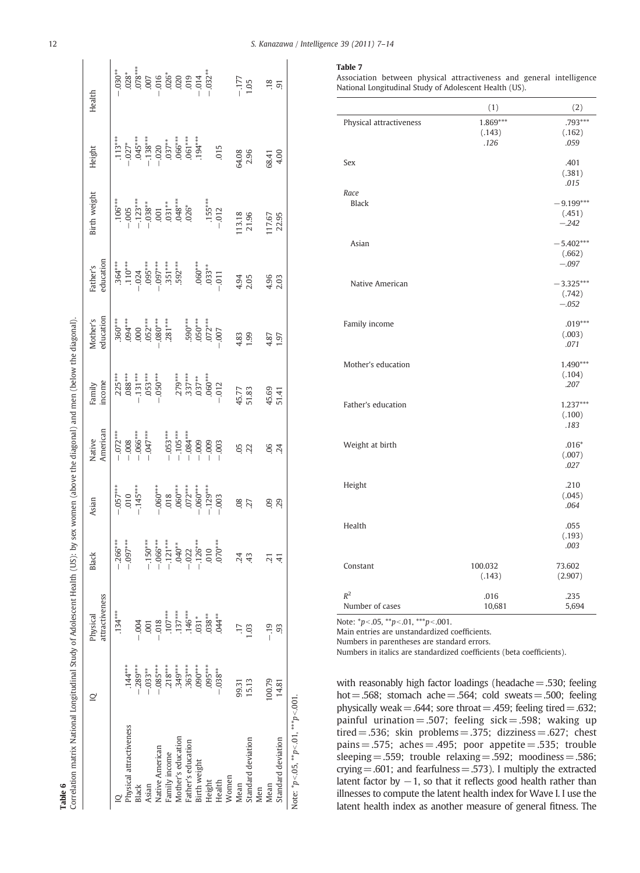<span id="page-5-0"></span>

| Correlation matrix National Longitudinal Study of Adolescent Health (US): by sex women (above the diagonal) and men (below the diagonal).<br>Table 6 |             |                            |                               |                     |                                        |                     |                                               |                                                                                       |                                                                                                                                                                                                                                                                                                                                           |                                      |                                                                                                                                                                                                                                                                                                                                                |
|------------------------------------------------------------------------------------------------------------------------------------------------------|-------------|----------------------------|-------------------------------|---------------------|----------------------------------------|---------------------|-----------------------------------------------|---------------------------------------------------------------------------------------|-------------------------------------------------------------------------------------------------------------------------------------------------------------------------------------------------------------------------------------------------------------------------------------------------------------------------------------------|--------------------------------------|------------------------------------------------------------------------------------------------------------------------------------------------------------------------------------------------------------------------------------------------------------------------------------------------------------------------------------------------|
|                                                                                                                                                      | ⊇           | attractiveness<br>Physical | Black                         | Asian               | American<br>Native                     | ncome<br>Family     | education<br>Mother's                         | education<br>Father's                                                                 | Birth weight                                                                                                                                                                                                                                                                                                                              | Height                               | Health                                                                                                                                                                                                                                                                                                                                         |
|                                                                                                                                                      |             | $134***$                   | $.266***$                     | $.057***$           | $-072***$                              | $.225***$           | $.360***$                                     | $.364***$                                                                             |                                                                                                                                                                                                                                                                                                                                           | $.113***$                            | $030**$                                                                                                                                                                                                                                                                                                                                        |
| Physical attractiveness                                                                                                                              | $.144***$   |                            | $-0.007$                      | 010                 |                                        | $.088***$           |                                               |                                                                                       |                                                                                                                                                                                                                                                                                                                                           | $.027*$                              |                                                                                                                                                                                                                                                                                                                                                |
| Black                                                                                                                                                | $-0.289***$ | $-004$                     |                               | $-.145***$          |                                        |                     |                                               |                                                                                       |                                                                                                                                                                                                                                                                                                                                           |                                      |                                                                                                                                                                                                                                                                                                                                                |
| Asian                                                                                                                                                | $-0.033***$ | $-001$                     | $-.150***$                    |                     | $-0.008$<br>$-0.066***$<br>$-0.047***$ | $.131***$<br>053*** | $.094***$<br>$.000$<br>$.052***$<br>$.080***$ | $\begin{array}{c} 110^{***} \\ 104 \\ 095^{***} \\ 097^{***} \\ 51^{***} \end{array}$ | $\begin{array}{l} 1.06^{***} \\ -0.05 \\ -1.23^{***} \\ -0.038^{**} \\ -0.030 \\ -0.01 \\ -0.031^{***} \\ -0.030 \\ -0.030 \\ -0.030 \\ -0.030 \\ -0.030 \\ -0.030 \\ -0.030 \\ -0.030 \\ -0.030 \\ -0.030 \\ -0.030 \\ -0.030 \\ -0.030 \\ -0.030 \\ -0.030 \\ -0.030 \\ -0.030 \\ -0.030 \\ -0.030 \\ -0.030 \\ -0.030 \\ -0.030 \\ -0$ | 045***<br>138***<br>138***<br>050*** | $\begin{array}{l} 228 * \\ 0.078 * \\ 0.078 * \\ -0.019 * \\ -0.019 * \\ -0.019 * \\ -0.019 * \\ -0.019 * \\ -0.019 * \\ -0.019 * \\ -0.031 * \\ -0.031 * \\ -0.031 * \\ -0.031 * \\ -0.031 * \\ -0.031 * \\ -0.031 * \\ -0.031 * \\ -0.031 * \\ -0.031 * \\ -0.031 * \\ -0.031 * \\ -0.031 * \\ -0.031 * \\ -0.031 * \\ -0.031 * \\ -0.031 *$ |
| Native American                                                                                                                                      | $-085***$   | $-0.018$                   | $-0.06$ ***                   | $.060***$           |                                        |                     |                                               |                                                                                       |                                                                                                                                                                                                                                                                                                                                           |                                      |                                                                                                                                                                                                                                                                                                                                                |
| Family income                                                                                                                                        | $.218***$   | $.107***$                  | $-.121***$                    |                     | $-053***$                              |                     | $.281***$                                     |                                                                                       |                                                                                                                                                                                                                                                                                                                                           |                                      |                                                                                                                                                                                                                                                                                                                                                |
| Mother's education                                                                                                                                   | 349***      | $137***$                   | $.040**$                      | $.018$<br>$.060***$ |                                        |                     |                                               | $.592***$                                                                             |                                                                                                                                                                                                                                                                                                                                           |                                      |                                                                                                                                                                                                                                                                                                                                                |
| Father's education                                                                                                                                   | $.363***$   | $.146***$                  | $-0.022$                      | $.072***$           | $-105***$<br>$-084***$<br>$-009$       | $.279***$<br>337*** | $.590***$                                     |                                                                                       |                                                                                                                                                                                                                                                                                                                                           | $.061***$                            |                                                                                                                                                                                                                                                                                                                                                |
| Birth weight                                                                                                                                         | $.090***$   | $.031*$                    |                               | $-060***$           |                                        | $.037**$            |                                               | $.060***$                                                                             |                                                                                                                                                                                                                                                                                                                                           | $.194***$                            |                                                                                                                                                                                                                                                                                                                                                |
| Height                                                                                                                                               | $.095***$   | $0.38***$                  | $-126$<br>$.010$<br>$.070***$ | $-.129***$          | $-0.009$                               | $.060***$           | $.050***$                                     | $.033***$                                                                             | $.155***$                                                                                                                                                                                                                                                                                                                                 |                                      |                                                                                                                                                                                                                                                                                                                                                |
| Health                                                                                                                                               | $-0.038***$ | $.044**$                   |                               | $-.003$             | $-0.003$                               | $-012$              | $-0.007$                                      | $-0.011$                                                                              | $-.012$                                                                                                                                                                                                                                                                                                                                   | 015                                  |                                                                                                                                                                                                                                                                                                                                                |
| Women                                                                                                                                                |             |                            |                               |                     |                                        |                     |                                               |                                                                                       |                                                                                                                                                                                                                                                                                                                                           |                                      |                                                                                                                                                                                                                                                                                                                                                |
| Mean                                                                                                                                                 | 99.31       |                            | 24                            | 80.                 |                                        |                     | 4.83                                          | 4.94<br>2.05                                                                          | 13.18                                                                                                                                                                                                                                                                                                                                     | 64.08                                | $-177$                                                                                                                                                                                                                                                                                                                                         |
| Standard deviation                                                                                                                                   | 15.13       | 1.03                       | 43                            | 27                  | 05 <sub>2</sub>                        | 45.77<br>51.83      | 1.99                                          |                                                                                       | 21.96                                                                                                                                                                                                                                                                                                                                     | 2.96                                 | 1.05                                                                                                                                                                                                                                                                                                                                           |
| Men                                                                                                                                                  |             |                            |                               |                     |                                        |                     |                                               |                                                                                       |                                                                                                                                                                                                                                                                                                                                           |                                      |                                                                                                                                                                                                                                                                                                                                                |
| Mean                                                                                                                                                 | 100.79      | $-19$                      | 21                            | 8                   | 90.                                    | 45.69               | 4.87                                          | $4.96$<br>2.03                                                                        | 17.67                                                                                                                                                                                                                                                                                                                                     | 68.41                                | $\frac{18}{91}$                                                                                                                                                                                                                                                                                                                                |
| Standard deviation                                                                                                                                   | 14.81       | 93                         | $\overline{4}$                | 29                  | 24                                     | 51.41               | 1.97                                          |                                                                                       | 22.95                                                                                                                                                                                                                                                                                                                                     | 4.00                                 |                                                                                                                                                                                                                                                                                                                                                |
| Note: $p < 0.05$ , $p < 0.01$ , $p > 0.001$                                                                                                          |             |                            |                               |                     |                                        |                     |                                               |                                                                                       |                                                                                                                                                                                                                                                                                                                                           |                                      |                                                                                                                                                                                                                                                                                                                                                |

Association between physical attractiveness and general intelligence National Longitudinal Study of Adolescent Health (US).

|                          | (1)                        | (2)                              |
|--------------------------|----------------------------|----------------------------------|
| Physical attractiveness  | 1.869***<br>(.143)<br>.126 | $.793***$<br>(.162)<br>.059      |
| Sex                      |                            | .401<br>(.381)<br>.015           |
| Race<br><b>Black</b>     |                            | $-9.199***$<br>(.451)<br>$-.242$ |
| Asian                    |                            | $-5.402***$<br>(.662)<br>$-.097$ |
| Native American          |                            | $-3.325***$<br>(.742)<br>$-.052$ |
| Family income            |                            | $.019***$<br>(.003)<br>.071      |
| Mother's education       |                            | 1.490***<br>(.104)<br>.207       |
| Father's education       |                            | $1.237***$<br>(.100)<br>.183     |
| Weight at birth          |                            | $.016*$<br>(.007)<br>.027        |
| Height                   |                            | .210<br>(.045)<br>.064           |
| Health                   |                            | .055<br>(.193)<br>.003           |
| Constant                 | 100.032<br>(.143)          | 73.602<br>(2.907)                |
| $R^2$<br>Number of cases | .016<br>10,681             | .235<br>5,694                    |

Note:  $\binom{p}{0.05}$ ,  $\binom{**}{p}$ .01,  $\binom{***}{p}$ .001.

Main entries are unstandardized coefficients.

Numbers in parentheses are standard errors.

Numbers in italics are standardized coefficients (beta coefficients).

with reasonably high factor loadings (headache $=$ .530; feeling hot = .568; stomach ache = .564; cold sweats = .500; feeling physically weak = .644; sore throat = .459; feeling tired = .632; painful urination = .507; feeling sick = .598; waking up tired = .536; skin problems = .375; dizziness = .627; chest pains  $= 0.575$ ; aches  $= 0.495$ ; poor appetite  $= 0.535$ ; trouble sleeping  $= .559$ ; trouble relaxing  $= .592$ ; moodiness  $= .586$ ; crying  $= .601$ ; and fearfulness  $= .573$ ). I multiply the extracted latent factor by  $-1$ , so that it reflects good health rather than illnesses to compute the latent health index for Wave I. I use the latent health index as another measure of general fitness. The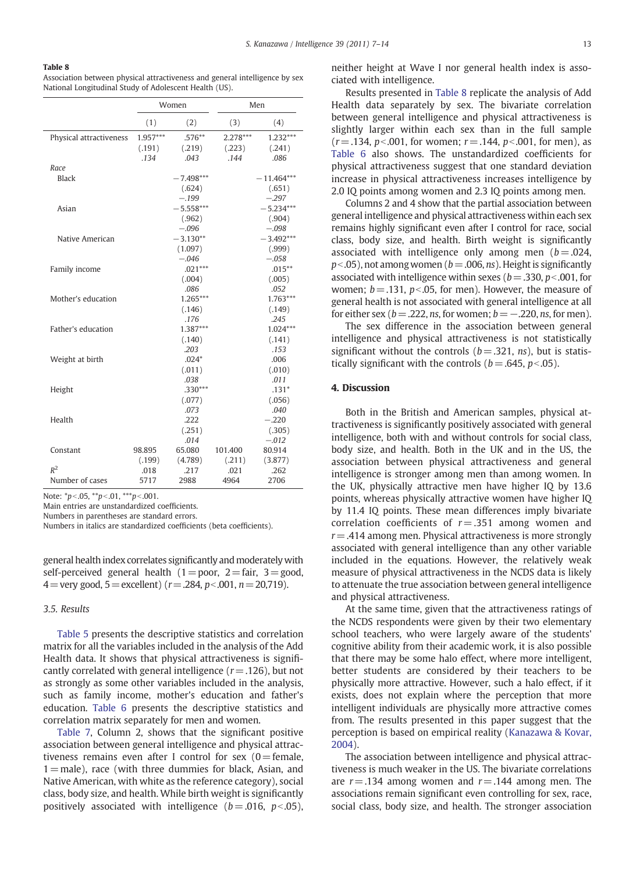Association between physical attractiveness and general intelligence by sex National Longitudinal Study of Adolescent Health (US).

|                         |            | Women       |          | Men          |
|-------------------------|------------|-------------|----------|--------------|
|                         | (1)        | (2)         | (3)      | (4)          |
| Physical attractiveness | $1.957***$ | $.576**$    | 2.278*** | $1.232***$   |
|                         | (.191)     | (.219)      | (.223)   | (.241)       |
|                         | .134       | .043        | .144     | .086         |
| Race                    |            |             |          |              |
| <b>Black</b>            |            | $-7.498***$ |          | $-11.464***$ |
|                         |            | (.624)      |          | (.651)       |
|                         |            | $-.199$     |          | $-.297$      |
| Asian                   |            | $-5.558***$ |          | $-5.234***$  |
|                         |            | (.962)      |          | (.904)       |
|                         |            | $-.096$     |          | $-.098$      |
| Native American         |            | $-3.130**$  |          | $-3.492***$  |
|                         |            | (1.097)     |          | (.999)       |
|                         |            | $-.046$     |          | $-.058$      |
| Family income           |            | $.021***$   |          | $.015***$    |
|                         |            | (.004)      |          | (.005)       |
|                         |            | .086        |          | .052         |
| Mother's education      |            | 1.265***    |          | $1.763***$   |
|                         |            | (.146)      |          | (.149)       |
|                         |            | .176        |          | .245         |
| Father's education      |            | 1.387***    |          | $1.024***$   |
|                         |            | (.140)      |          | (.141)       |
|                         |            | .203        |          | .153         |
| Weight at birth         |            | $.024*$     |          | .006         |
|                         |            | (.011)      |          | (.010)       |
|                         |            | .038        |          | .011         |
| Height                  |            | $.330***$   |          | $.131*$      |
|                         |            | (.077)      |          | (.056)       |
|                         |            | .073        |          | .040         |
| Health                  |            | .222        |          | $-.220$      |
|                         |            | (.251)      |          | (.305)       |
|                         |            | .014        |          | $-.012$      |
| Constant                | 98.895     | 65.080      | 101.400  | 80.914       |
|                         | (.199)     | (4.789)     | (.211)   | (3.877)      |
| $R^2$                   | .018       | .217        | .021     | .262         |
| Number of cases         | 5717       | 2988        | 4964     | 2706         |

Note:  $*p<0.05$ ,  $**p<0.01$ ,  $***p<0.001$ .

Main entries are unstandardized coefficients.

Numbers in parentheses are standard errors.

Numbers in italics are standardized coefficients (beta coefficients).

general health index correlates significantly and moderately with self-perceived general health ( $1=$ poor,  $2=$  fair,  $3=$  good, 4 = very good, 5 = excellent) ( $r = .284$ ,  $p < .001$ ,  $n = 20,719$ ).

#### 3.5. Results

[Table 5](#page-4-0) presents the descriptive statistics and correlation matrix for all the variables included in the analysis of the Add Health data. It shows that physical attractiveness is significantly correlated with general intelligence ( $r = .126$ ), but not as strongly as some other variables included in the analysis, such as family income, mother's education and father's education. [Table 6](#page-5-0) presents the descriptive statistics and correlation matrix separately for men and women.

[Table 7,](#page-5-0) Column 2, shows that the significant positive association between general intelligence and physical attractiveness remains even after I control for sex  $(0=$  female,  $1=$ male), race (with three dummies for black, Asian, and Native American, with white as the reference category), social class, body size, and health. While birth weight is significantly positively associated with intelligence  $(b=.016, p<.05)$ , neither height at Wave I nor general health index is associated with intelligence.

Results presented in Table 8 replicate the analysis of Add Health data separately by sex. The bivariate correlation between general intelligence and physical attractiveness is slightly larger within each sex than in the full sample  $(r = .134, p < .001,$  for women;  $r = .144, p < .001,$  for men), as [Table 6](#page-5-0) also shows. The unstandardized coefficients for physical attractiveness suggest that one standard deviation increase in physical attractiveness increases intelligence by 2.0 IQ points among women and 2.3 IQ points among men.

Columns 2 and 4 show that the partial association between general intelligence and physical attractiveness within each sex remains highly significant even after I control for race, social class, body size, and health. Birth weight is significantly associated with intelligence only among men  $(b=.024, ...)$  $p<.05$ ), not among women ( $b=.006$ , ns). Height is significantly associated with intelligence within sexes ( $b = .330$ ,  $p < .001$ , for women;  $b = .131$ ,  $p < .05$ , for men). However, the measure of general health is not associated with general intelligence at all for either sex ( $b = .222$ , ns, for women;  $b = -.220$ , ns, for men).

The sex difference in the association between general intelligence and physical attractiveness is not statistically significant without the controls  $(b = .321, ns)$ , but is statistically significant with the controls ( $b = .645$ ,  $p < .05$ ).

### 4. Discussion

Both in the British and American samples, physical attractiveness is significantly positively associated with general intelligence, both with and without controls for social class, body size, and health. Both in the UK and in the US, the association between physical attractiveness and general intelligence is stronger among men than among women. In the UK, physically attractive men have higher IQ by 13.6 points, whereas physically attractive women have higher IQ by 11.4 IQ points. These mean differences imply bivariate correlation coefficients of  $r = .351$  among women and  $r = .414$  among men. Physical attractiveness is more strongly associated with general intelligence than any other variable included in the equations. However, the relatively weak measure of physical attractiveness in the NCDS data is likely to attenuate the true association between general intelligence and physical attractiveness.

At the same time, given that the attractiveness ratings of the NCDS respondents were given by their two elementary school teachers, who were largely aware of the students' cognitive ability from their academic work, it is also possible that there may be some halo effect, where more intelligent, better students are considered by their teachers to be physically more attractive. However, such a halo effect, if it exists, does not explain where the perception that more intelligent individuals are physically more attractive comes from. The results presented in this paper suggest that the perception is based on empirical reality ([Kanazawa & Kovar,](#page-7-0) [2004](#page-7-0)).

The association between intelligence and physical attractiveness is much weaker in the US. The bivariate correlations are  $r = .134$  among women and  $r = .144$  among men. The associations remain significant even controlling for sex, race, social class, body size, and health. The stronger association